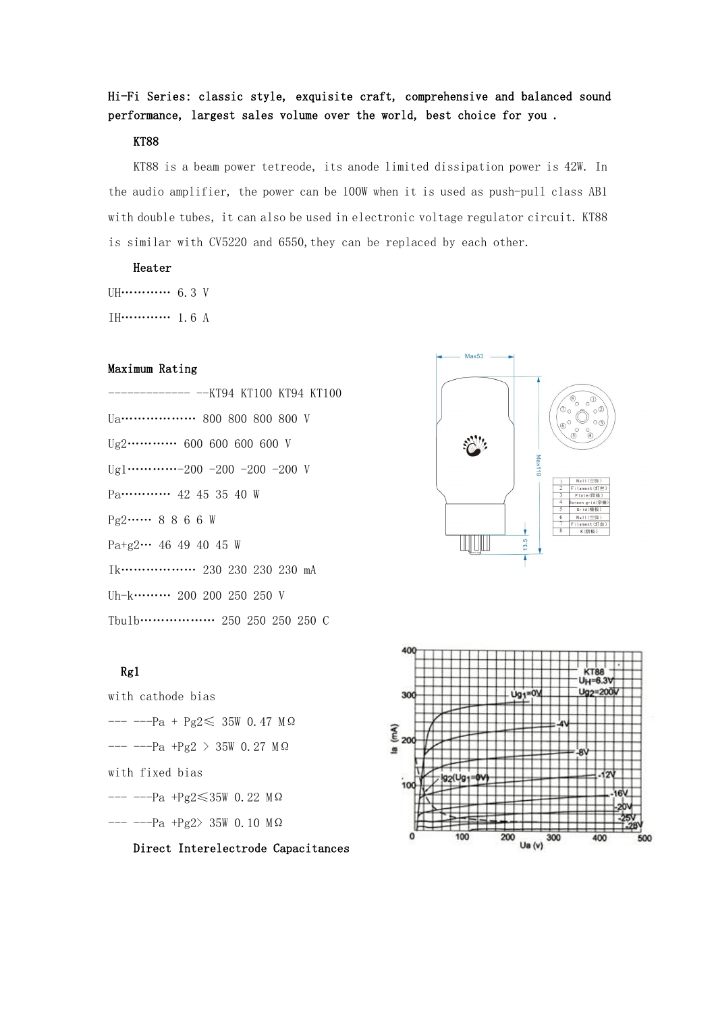# Hi-Fi Series: classic style, exquisite craft, comprehensive and balanced sound performance, largest sales volume over the world, best choice for you .

#### KT88

KT88 is a beam power tetreode, its anode limited dissipation power is 42W. In the audio amplifier, the power can be 100W when it is used as push-pull class AB1 with double tubes, it can also be used in electronic voltage regulator circuit. KT88 is similar with CV5220 and 6550, they can be replaced by each other.

#### Heater

UH………… 6.3 V IH………… 1.6 A

#### Maximum Rating

------------- --KT94 KT100 KT94 KT100 Ua……………… 800 800 800 800 V Ug2………… 600 600 600 600 V  $Ug1$ …………-200 -200 -200 -200 V Pa………… 42 45 35 40 W Pg2…… 8 8 6 6 W Pa+g2… 46 49 40 45 W Ik……………… 230 230 230 230 mA Uh-k……… 200 200 250 250 V Tbulb……………… 250 250 250 250 C

#### Rg1

with cathode bias  $--- -Pa + Pg2 \le 35W$  0.47 MΩ<br> $\epsilon$  $-- -Pa$  +Pg2 > 35W 0.27 M Ω with fixed bias  $-- ---$ Pa +Pg2 $\leq 35W$  0.22 M $\Omega$  $-- ---$ Pa +Pg2> 35W 0.10 M  $\Omega$ 

Direct Interelectrode Capacitances



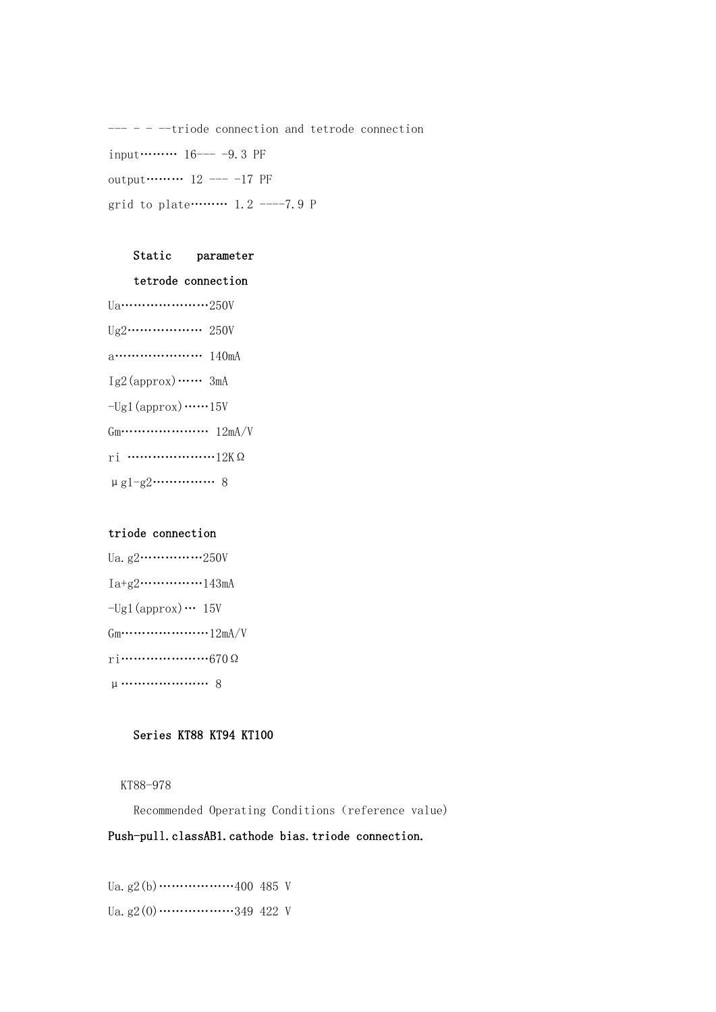--- - - --triode connection and tetrode connection input……… 16--- -9.3 PF output……… 12 --- -17 PF grid to plate……… 1.2 ----7.9 P

#### Static parameter

#### tetrode connection

Ua…………………250V Ug2……………… 250V a………………… 140mA  $Ig2$ (approx) …… 3mA  $-$ Ug1(approx) ……15V  $Gm \cdots \cdots \cdots \cdots \cdots \cdots 12mA/V$ ri …………………12KΩ μg1-g2…………… 8

# triode connection

| $-$ Ugl(approx) $\cdots$ 15V                          |  |
|-------------------------------------------------------|--|
| $Gm \cdots \cdots \cdots \cdots \cdots \cdots 12mA/V$ |  |
|                                                       |  |
|                                                       |  |

## Series KT88 KT94 KT100

KT88-978

Recommended Operating Conditions (reference value)

# Push-pull.classAB1.cathode bias.triode connection.

Ua. g2(b)……………400 485 V Ua. g2 $(0)$ ……………349 422 V